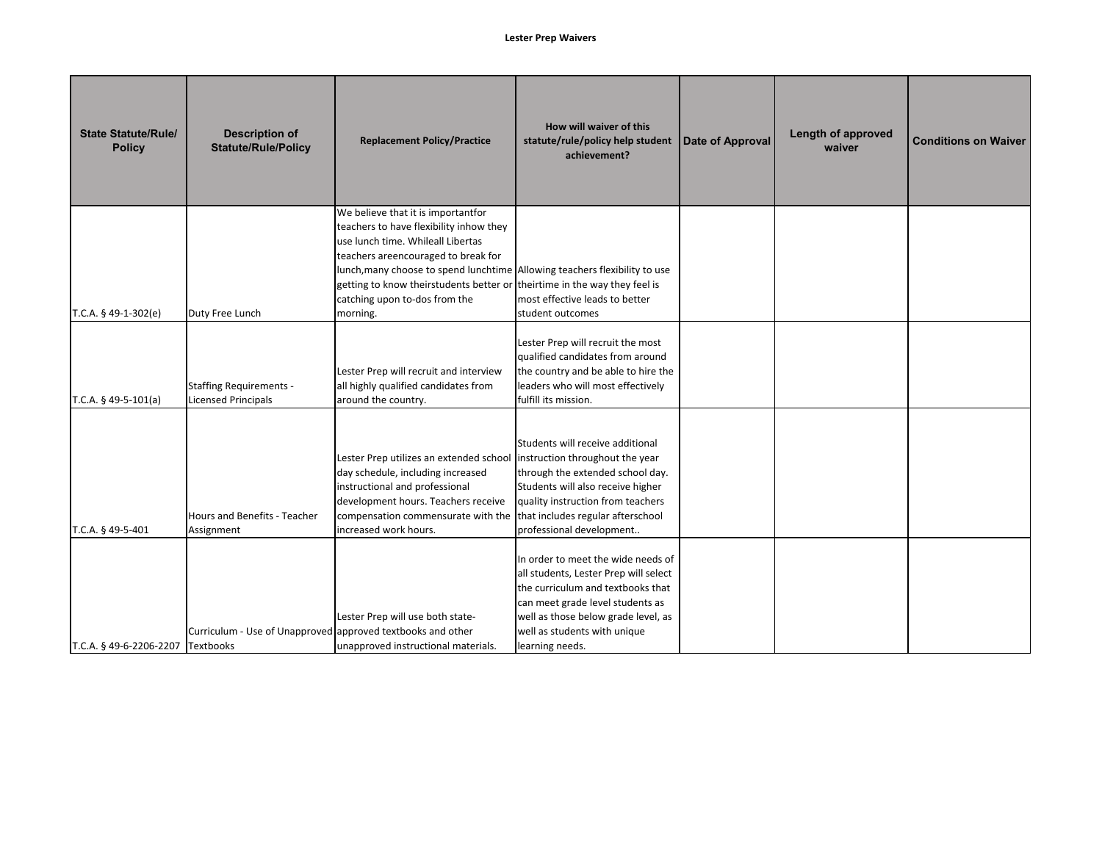| <b>State Statute/Rule/</b><br><b>Policy</b> | <b>Description of</b><br><b>Statute/Rule/Policy</b>          | <b>Replacement Policy/Practice</b>                                                                                                                                                                                                                                                                                              | How will waiver of this<br>statute/rule/policy help student<br>achievement?                                                                                                                                                                        | Date of Approval | Length of approved<br>waiver | <b>Conditions on Waiver</b> |
|---------------------------------------------|--------------------------------------------------------------|---------------------------------------------------------------------------------------------------------------------------------------------------------------------------------------------------------------------------------------------------------------------------------------------------------------------------------|----------------------------------------------------------------------------------------------------------------------------------------------------------------------------------------------------------------------------------------------------|------------------|------------------------------|-----------------------------|
| T.C.A. $§$ 49-1-302(e)                      | Duty Free Lunch                                              | We believe that it is importantfor<br>teachers to have flexibility inhow they<br>use lunch time. Whileall Libertas<br>teachers areencouraged to break for<br>lunch, many choose to spend lunchtime Allowing teachers flexibility to use<br>getting to know theirstudents better or<br>catching upon to-dos from the<br>morning. | theirtime in the way they feel is<br>most effective leads to better<br>student outcomes                                                                                                                                                            |                  |                              |                             |
| T.C.A. $§$ 49-5-101(a)                      | <b>Staffing Requirements -</b><br><b>Licensed Principals</b> | Lester Prep will recruit and interview<br>all highly qualified candidates from<br>around the country.                                                                                                                                                                                                                           | Lester Prep will recruit the most<br>qualified candidates from around<br>the country and be able to hire the<br>leaders who will most effectively<br>fulfill its mission.                                                                          |                  |                              |                             |
| T.C.A. § 49-5-401                           | Hours and Benefits - Teacher<br>Assignment                   | Lester Prep utilizes an extended school<br>day schedule, including increased<br>instructional and professional<br>development hours. Teachers receive<br>compensation commensurate with the<br>increased work hours.                                                                                                            | Students will receive additional<br>instruction throughout the year<br>through the extended school day.<br>Students will also receive higher<br>quality instruction from teachers<br>that includes regular afterschool<br>professional development |                  |                              |                             |
| T.C.A. § 49-6-2206-2207 Textbooks           | Curriculum - Use of Unapproved approved textbooks and other  | Lester Prep will use both state-<br>unapproved instructional materials.                                                                                                                                                                                                                                                         | In order to meet the wide needs of<br>all students, Lester Prep will select<br>the curriculum and textbooks that<br>can meet grade level students as<br>well as those below grade level, as<br>well as students with unique<br>learning needs.     |                  |                              |                             |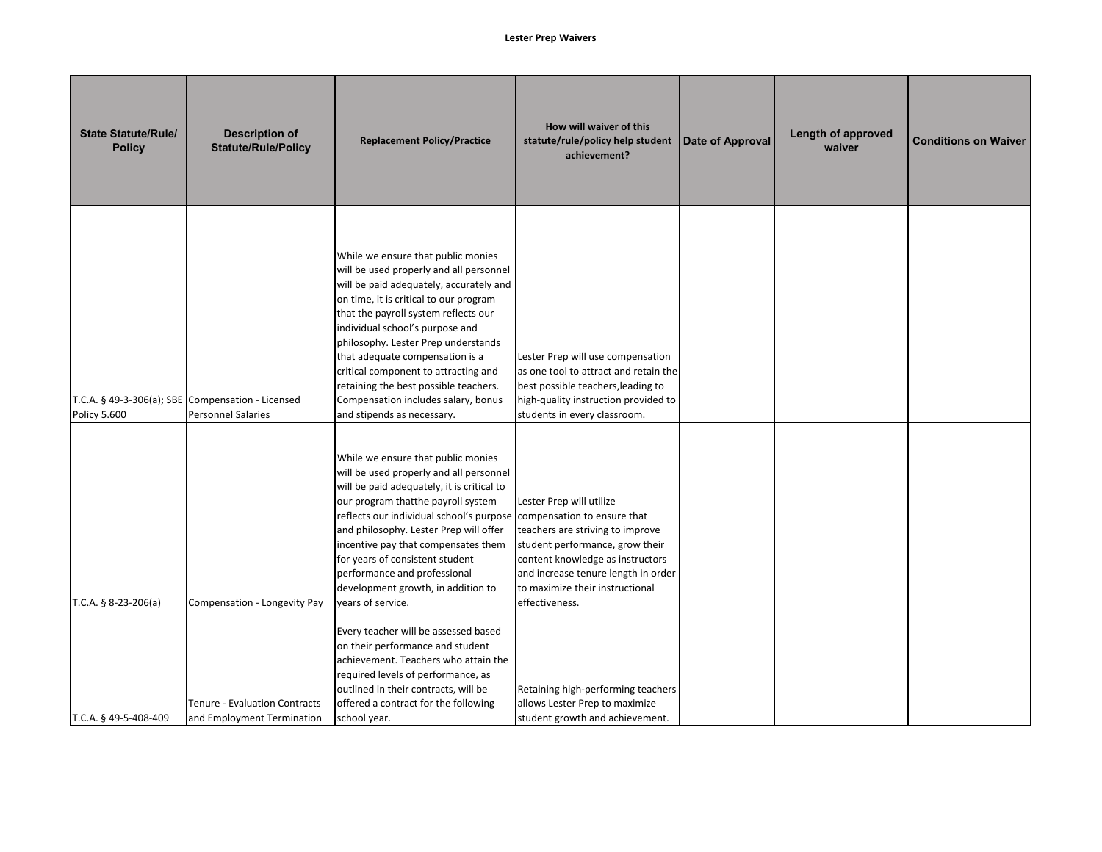| <b>State Statute/Rule/</b><br><b>Policy</b> | <b>Description of</b><br><b>Statute/Rule/Policy</b>                            | <b>Replacement Policy/Practice</b>                                                                                                                                                                                                                                                                                                                                                                                                                                            | How will waiver of this<br>statute/rule/policy help student<br>achievement?                                                                                                                                                                                    | Date of Approval | Length of approved<br>waiver | <b>Conditions on Waiver</b> |
|---------------------------------------------|--------------------------------------------------------------------------------|-------------------------------------------------------------------------------------------------------------------------------------------------------------------------------------------------------------------------------------------------------------------------------------------------------------------------------------------------------------------------------------------------------------------------------------------------------------------------------|----------------------------------------------------------------------------------------------------------------------------------------------------------------------------------------------------------------------------------------------------------------|------------------|------------------------------|-----------------------------|
| Policy 5.600                                | T.C.A. § 49-3-306(a); SBE Compensation - Licensed<br><b>Personnel Salaries</b> | While we ensure that public monies<br>will be used properly and all personnel<br>will be paid adequately, accurately and<br>on time, it is critical to our program<br>that the payroll system reflects our<br>individual school's purpose and<br>philosophy. Lester Prep understands<br>that adequate compensation is a<br>critical component to attracting and<br>retaining the best possible teachers.<br>Compensation includes salary, bonus<br>and stipends as necessary. | Lester Prep will use compensation<br>as one tool to attract and retain the<br>best possible teachers, leading to<br>high-quality instruction provided to<br>students in every classroom.                                                                       |                  |                              |                             |
| T.C.A. $§ 8-23-206(a)$                      | Compensation - Longevity Pay                                                   | While we ensure that public monies<br>will be used properly and all personnel<br>will be paid adequately, it is critical to<br>our program thatthe payroll system<br>reflects our individual school's purpose<br>and philosophy. Lester Prep will offer<br>incentive pay that compensates them<br>for years of consistent student<br>performance and professional<br>development growth, in addition to<br>vears of service.                                                  | Lester Prep will utilize<br>compensation to ensure that<br>teachers are striving to improve<br>student performance, grow their<br>content knowledge as instructors<br>and increase tenure length in order<br>to maximize their instructional<br>effectiveness. |                  |                              |                             |
| T.C.A. § 49-5-408-409                       | <b>Tenure - Evaluation Contracts</b><br>and Employment Termination             | Every teacher will be assessed based<br>on their performance and student<br>achievement. Teachers who attain the<br>required levels of performance, as<br>outlined in their contracts, will be<br>offered a contract for the following<br>school year.                                                                                                                                                                                                                        | Retaining high-performing teachers<br>allows Lester Prep to maximize<br>student growth and achievement.                                                                                                                                                        |                  |                              |                             |